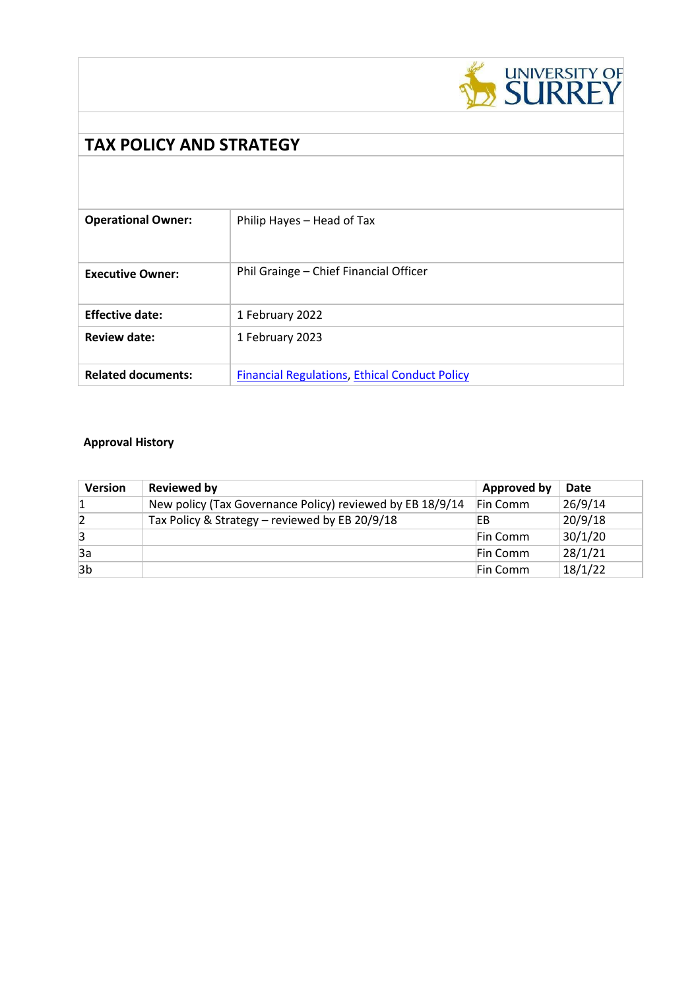

# **TAX POLICY AND STRATEGY**

| <b>Operational Owner:</b> | Philip Hayes - Head of Tax                           |
|---------------------------|------------------------------------------------------|
| <b>Executive Owner:</b>   | Phil Grainge - Chief Financial Officer               |
| <b>Effective date:</b>    | 1 February 2022                                      |
| <b>Review date:</b>       | 1 February 2023                                      |
| <b>Related documents:</b> | <b>Financial Regulations, Ethical Conduct Policy</b> |

# **Approval History**

| <b>Version</b> | Reviewed by                                               | <b>Approved by</b> | Date    |
|----------------|-----------------------------------------------------------|--------------------|---------|
|                | New policy (Tax Governance Policy) reviewed by EB 18/9/14 | Fin Comm           | 26/9/14 |
|                | Tax Policy & Strategy - reviewed by EB 20/9/18            | EВ                 | 20/9/18 |
| 3              |                                                           | Fin Comm           | 30/1/20 |
| 3a             |                                                           | Fin Comm           | 28/1/21 |
| 3b             |                                                           | Fin Comm           | 18/1/22 |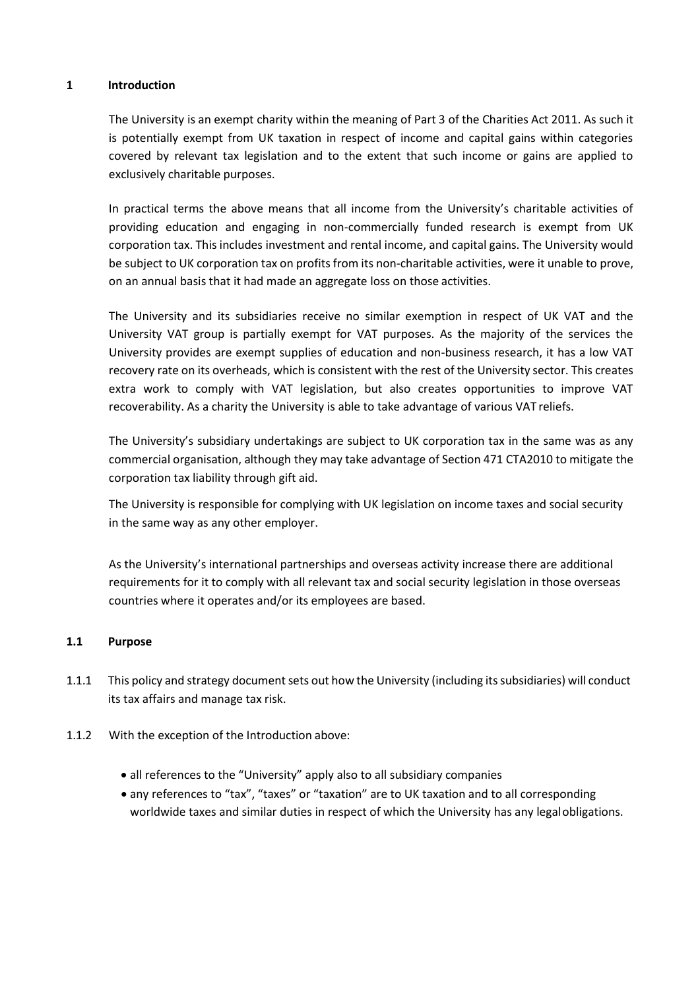#### **1 Introduction**

The University is an exempt charity within the meaning of Part 3 of the Charities Act 2011. As such it is potentially exempt from UK taxation in respect of income and capital gains within categories covered by relevant tax legislation and to the extent that such income or gains are applied to exclusively charitable purposes.

In practical terms the above means that all income from the University's charitable activities of providing education and engaging in non-commercially funded research is exempt from UK corporation tax. This includes investment and rental income, and capital gains. The University would be subject to UK corporation tax on profits from its non-charitable activities, were it unable to prove, on an annual basis that it had made an aggregate loss on those activities.

The University and its subsidiaries receive no similar exemption in respect of UK VAT and the University VAT group is partially exempt for VAT purposes. As the majority of the services the University provides are exempt supplies of education and non-business research, it has a low VAT recovery rate on its overheads, which is consistent with the rest of the University sector. This creates extra work to comply with VAT legislation, but also creates opportunities to improve VAT recoverability. As a charity the University is able to take advantage of various VAT reliefs.

The University's subsidiary undertakings are subject to UK corporation tax in the same was as any commercial organisation, although they may take advantage of Section 471 CTA2010 to mitigate the corporation tax liability through gift aid.

The University is responsible for complying with UK legislation on income taxes and social security in the same way as any other employer.

As the University's international partnerships and overseas activity increase there are additional requirements for it to comply with all relevant tax and social security legislation in those overseas countries where it operates and/or its employees are based.

#### **1.1 Purpose**

- 1.1.1 This policy and strategy document sets out how the University (including its subsidiaries) will conduct its tax affairs and manage tax risk.
- 1.1.2 With the exception of the Introduction above:
	- all references to the "University" apply also to all subsidiary companies
	- any references to "tax", "taxes" or "taxation" are to UK taxation and to all corresponding worldwide taxes and similar duties in respect of which the University has any legalobligations.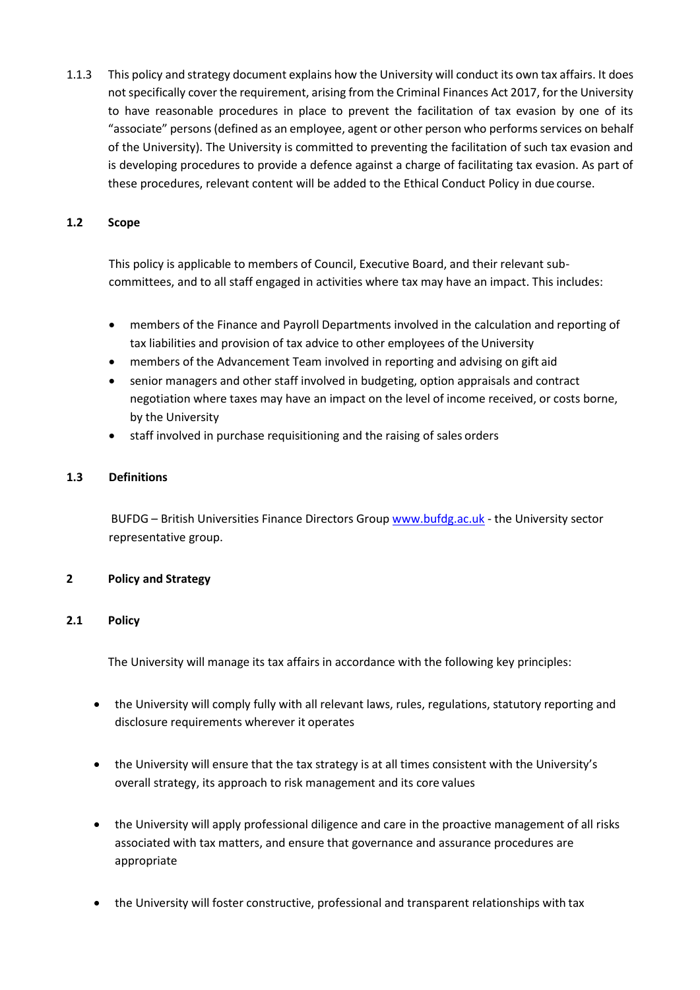1.1.3 This policy and strategy document explains how the University will conduct its own tax affairs. It does notspecifically cover the requirement, arising from the Criminal Finances Act 2017, forthe University to have reasonable procedures in place to prevent the facilitation of tax evasion by one of its "associate" persons (defined as an employee, agent or other person who performs services on behalf of the University). The University is committed to preventing the facilitation of such tax evasion and is developing procedures to provide a defence against a charge of facilitating tax evasion. As part of these procedures, relevant content will be added to the Ethical Conduct Policy in due course.

#### **1.2 Scope**

This policy is applicable to members of Council, Executive Board, and their relevant subcommittees, and to all staff engaged in activities where tax may have an impact. This includes:

- members of the Finance and Payroll Departments involved in the calculation and reporting of tax liabilities and provision of tax advice to other employees of the University
- members of the Advancement Team involved in reporting and advising on gift aid
- senior managers and other staff involved in budgeting, option appraisals and contract negotiation where taxes may have an impact on the level of income received, or costs borne, by the University
- staff involved in purchase requisitioning and the raising of sales orders

#### **1.3 Definitions**

BUFDG – British Universities Finance Directors Group [www.bufdg.ac.uk](http://www.bufdg.ac.uk/) - the University sector representative group.

## **2 Policy and Strategy**

## **2.1 Policy**

The University will manage its tax affairs in accordance with the following key principles:

- the University will comply fully with all relevant laws, rules, regulations, statutory reporting and disclosure requirements wherever it operates
- the University will ensure that the tax strategy is at all times consistent with the University's overall strategy, its approach to risk management and its core values
- the University will apply professional diligence and care in the proactive management of all risks associated with tax matters, and ensure that governance and assurance procedures are appropriate
- the University will foster constructive, professional and transparent relationships with tax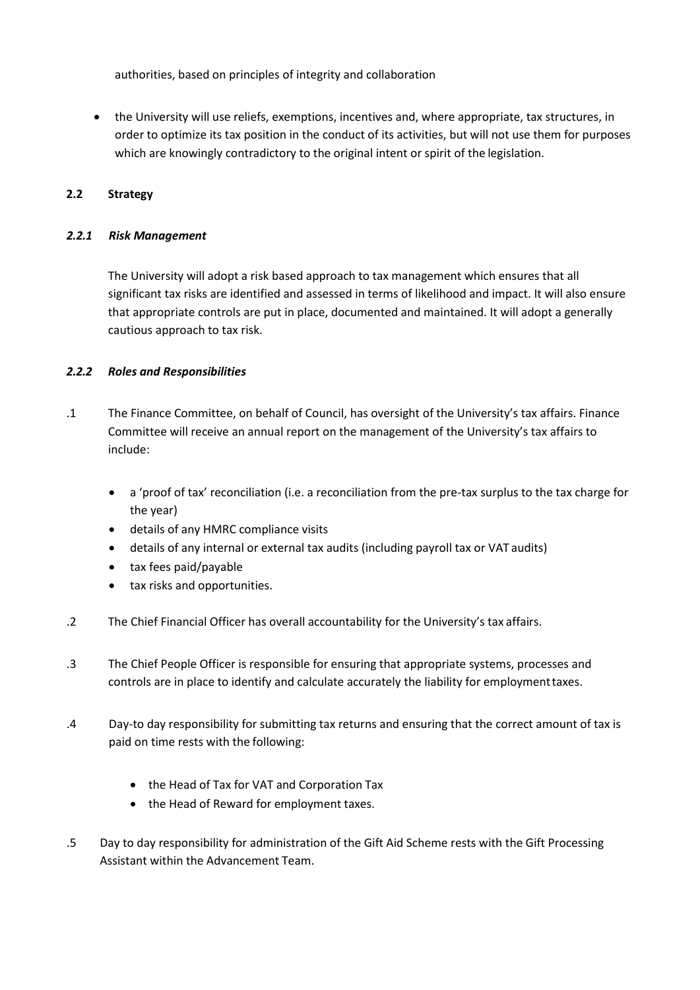authorities, based on principles of integrity and collaboration

• the University will use reliefs, exemptions, incentives and, where appropriate, tax structures, in order to optimize its tax position in the conduct of its activities, but will not use them for purposes which are knowingly contradictory to the original intent or spirit of the legislation.

# **2.2 Strategy**

#### *2.2.1 Risk Management*

The University will adopt a risk based approach to tax management which ensures that all significant tax risks are identified and assessed in terms of likelihood and impact. It will also ensure that appropriate controls are put in place, documented and maintained. It will adopt a generally cautious approach to tax risk.

## *2.2.2 Roles and Responsibilities*

- .1 The Finance Committee, on behalf of Council, has oversight of the University's tax affairs. Finance Committee will receive an annual report on the management of the University's tax affairs to include:
	- a 'proof of tax' reconciliation (i.e. a reconciliation from the pre-tax surplus to the tax charge for the year)
	- details of any HMRC compliance visits
	- details of any internal or external tax audits (including payroll tax or VAT audits)
	- tax fees paid/payable
	- tax risks and opportunities.
- .2 The Chief Financial Officer has overall accountability for the University's tax affairs.
- .3 The Chief People Officer is responsible for ensuring that appropriate systems, processes and controls are in place to identify and calculate accurately the liability for employmenttaxes.
- .4 Day-to day responsibility for submitting tax returns and ensuring that the correct amount of tax is paid on time rests with the following:
	- the Head of Tax for VAT and Corporation Tax
	- the Head of Reward for employment taxes.
- .5 Day to day responsibility for administration of the Gift Aid Scheme rests with the Gift Processing Assistant within the Advancement Team.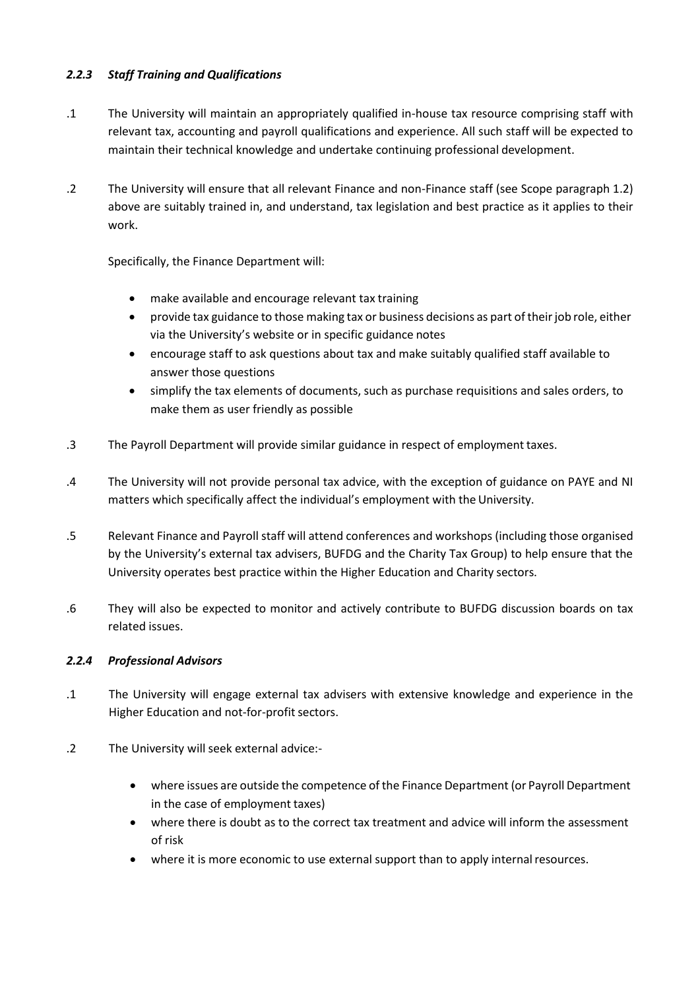# *2.2.3 Staff Training and Qualifications*

- .1 The University will maintain an appropriately qualified in-house tax resource comprising staff with relevant tax, accounting and payroll qualifications and experience. All such staff will be expected to maintain their technical knowledge and undertake continuing professional development.
- .2 The University will ensure that all relevant Finance and non-Finance staff (see Scope paragraph 1.2) above are suitably trained in, and understand, tax legislation and best practice as it applies to their work.

Specifically, the Finance Department will:

- make available and encourage relevant tax training
- provide tax guidance to those making tax or business decisions as part of theirjob role, either via the University's website or in specific guidance notes
- encourage staff to ask questions about tax and make suitably qualified staff available to answer those questions
- simplify the tax elements of documents, such as purchase requisitions and sales orders, to make them as user friendly as possible
- .3 The Payroll Department will provide similar guidance in respect of employment taxes.
- .4 The University will not provide personal tax advice, with the exception of guidance on PAYE and NI matters which specifically affect the individual's employment with the University.
- .5 Relevant Finance and Payroll staff will attend conferences and workshops (including those organised by the University's external tax advisers, BUFDG and the Charity Tax Group) to help ensure that the University operates best practice within the Higher Education and Charity sectors.
- .6 They will also be expected to monitor and actively contribute to BUFDG discussion boards on tax related issues.

## *2.2.4 Professional Advisors*

- .1 The University will engage external tax advisers with extensive knowledge and experience in the Higher Education and not-for-profit sectors.
- .2 The University will seek external advice:-
	- where issues are outside the competence of the Finance Department (or Payroll Department in the case of employment taxes)
	- where there is doubt as to the correct tax treatment and advice will inform the assessment of risk
	- where it is more economic to use external support than to apply internal resources.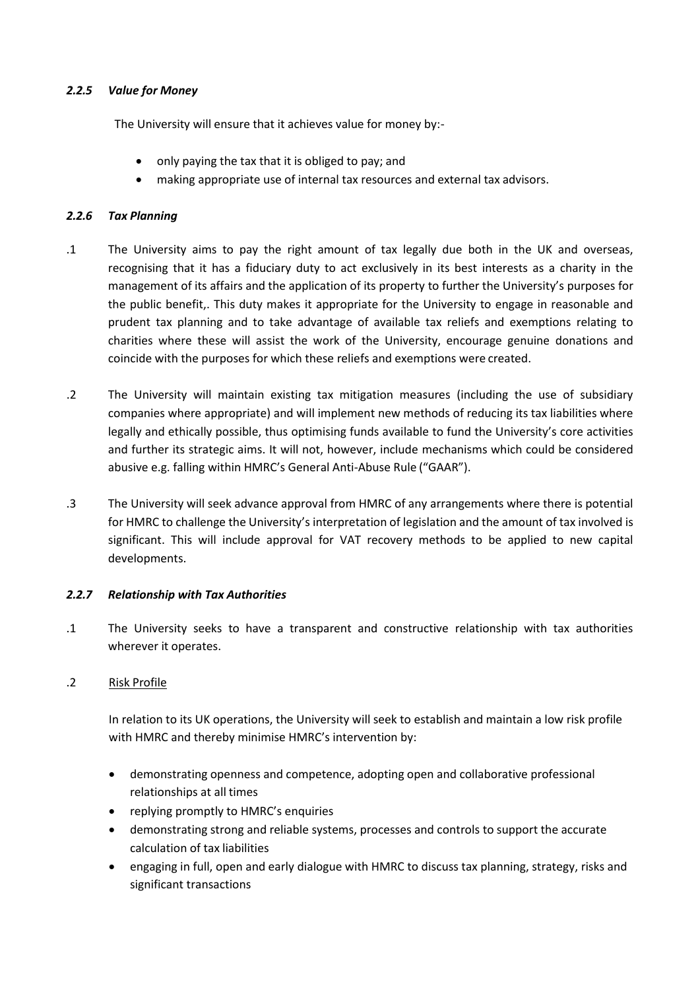#### *2.2.5 Value for Money*

The University will ensure that it achieves value for money by:-

- only paying the tax that it is obliged to pay; and
- making appropriate use of internal tax resources and external tax advisors.

#### *2.2.6 Tax Planning*

- .1 The University aims to pay the right amount of tax legally due both in the UK and overseas, recognising that it has a fiduciary duty to act exclusively in its best interests as a charity in the management of its affairs and the application of its property to further the University's purposes for the public benefit,. This duty makes it appropriate for the University to engage in reasonable and prudent tax planning and to take advantage of available tax reliefs and exemptions relating to charities where these will assist the work of the University, encourage genuine donations and coincide with the purposes for which these reliefs and exemptions were created.
- .2 The University will maintain existing tax mitigation measures (including the use of subsidiary companies where appropriate) and will implement new methods of reducing its tax liabilities where legally and ethically possible, thus optimising funds available to fund the University's core activities and further its strategic aims. It will not, however, include mechanisms which could be considered abusive e.g. falling within HMRC's General Anti-Abuse Rule ("GAAR").
- .3 The University will seek advance approval from HMRC of any arrangements where there is potential for HMRC to challenge the University's interpretation of legislation and the amount of tax involved is significant. This will include approval for VAT recovery methods to be applied to new capital developments.

## *2.2.7 Relationship with Tax Authorities*

.1 The University seeks to have a transparent and constructive relationship with tax authorities wherever it operates.

## .2 Risk Profile

In relation to its UK operations, the University will seek to establish and maintain a low risk profile with HMRC and thereby minimise HMRC's intervention by:

- demonstrating openness and competence, adopting open and collaborative professional relationships at all times
- replying promptly to HMRC's enquiries
- demonstrating strong and reliable systems, processes and controls to support the accurate calculation of tax liabilities
- engaging in full, open and early dialogue with HMRC to discuss tax planning, strategy, risks and significant transactions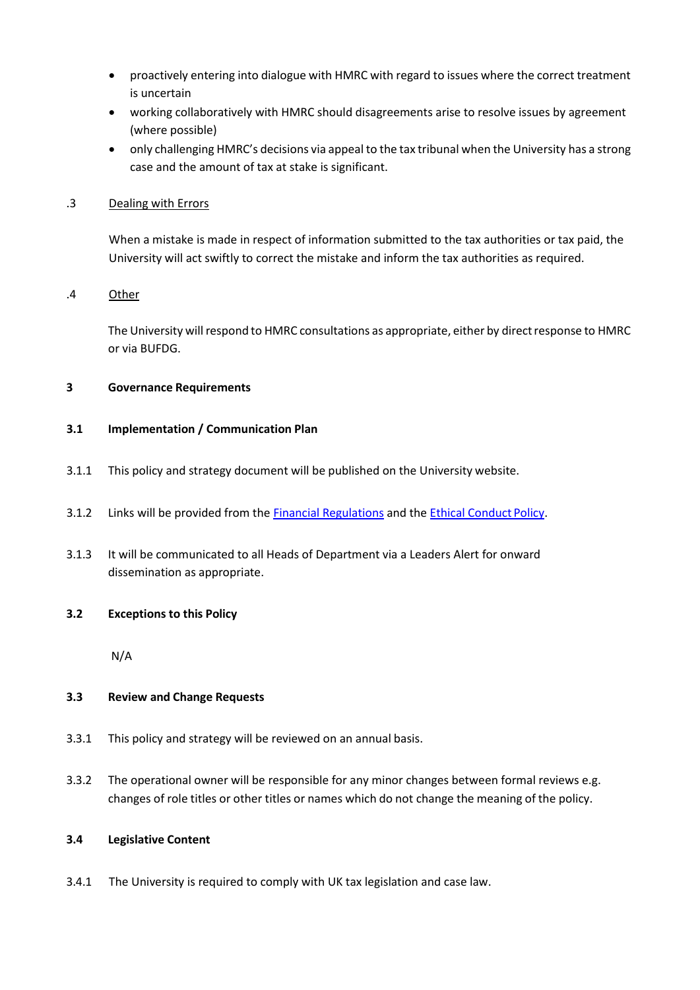- proactively entering into dialogue with HMRC with regard to issues where the correct treatment is uncertain
- working collaboratively with HMRC should disagreements arise to resolve issues by agreement (where possible)
- only challenging HMRC's decisions via appeal to the tax tribunal when the University has a strong case and the amount of tax at stake is significant.

#### .3 Dealing with Errors

When a mistake is made in respect of information submitted to the tax authorities or tax paid, the University will act swiftly to correct the mistake and inform the tax authorities as required.

#### .4 Other

The University will respond to HMRC consultations as appropriate, either by direct response to HMRC or via BUFDG.

#### **3 Governance Requirements**

#### **3.1 Implementation / Communication Plan**

- 3.1.1 This policy and strategy document will be published on the University website.
- 3.1.2 Links will be provided from the **[Financial Regulations](https://surreynet.surrey.ac.uk/sites/default/files/2018-06/Fin%20Regs%20Apr%2018.pdf)** and the **[Ethical Conduct](https://www.surrey.ac.uk/sites/default/files/Ethical%20Conduct%20Policy.pdf) Policy**.
- 3.1.3 It will be communicated to all Heads of Department via a Leaders Alert for onward dissemination as appropriate.

#### **3.2 Exceptions to this Policy**

N/A

## **3.3 Review and Change Requests**

- 3.3.1 This policy and strategy will be reviewed on an annual basis.
- 3.3.2 The operational owner will be responsible for any minor changes between formal reviews e.g. changes of role titles or other titles or names which do not change the meaning of the policy.

#### **3.4 Legislative Content**

3.4.1 The University is required to comply with UK tax legislation and case law.